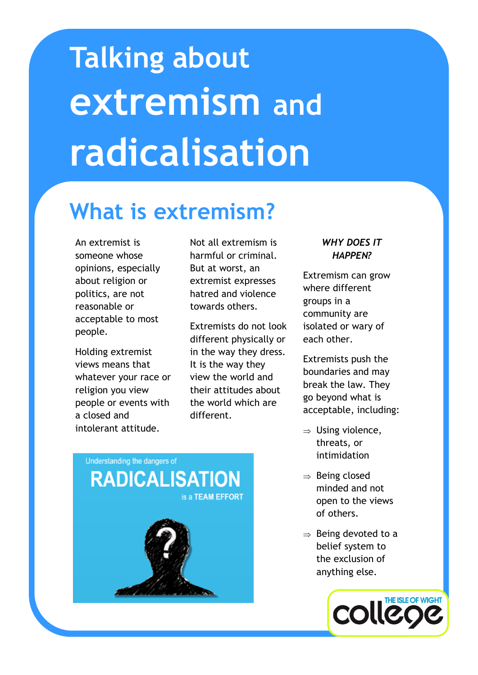# **Talking about extremism and radicalisation**

# **What is extremism?**

An extremist is someone whose opinions, especially about religion or politics, are not reasonable or acceptable to most people.

Holding extremist views means that whatever your race or religion you view people or events with a closed and intolerant attitude.

Not all extremism is harmful or criminal. But at worst, an extremist expresses hatred and violence towards others.

Extremists do not look different physically or in the way they dress. It is the way they view the world and their attitudes about the world which are different.

## *WHY DOES IT HAPPEN?*

Extremism can grow where different groups in a community are isolated or wary of each other.

Extremists push the boundaries and may break the law. They go beyond what is acceptable, including:

- $\Rightarrow$  Using violence, threats, or intimidation
- $\Rightarrow$  Being closed minded and not open to the views of others.
- $\Rightarrow$  Being devoted to a belief system to the exclusion of anything else.



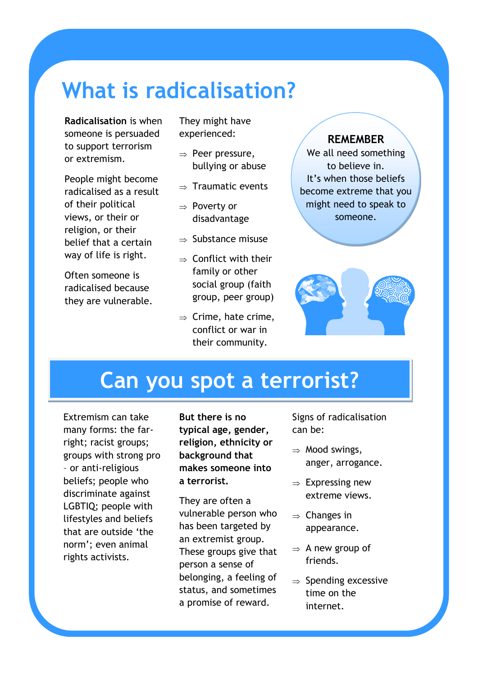# **What is radicalisation?**

**Radicalisation** is when someone is persuaded to support terrorism or extremism.

People might become radicalised as a result of their political views, or their or religion, or their belief that a certain way of life is right.

Often someone is radicalised because they are vulnerable.

They might have experienced:

- $\Rightarrow$  Peer pressure, bullying or abuse
- $\Rightarrow$  Traumatic events
- $\Rightarrow$  Poverty or disadvantage
- $\Rightarrow$  Substance misuse
- $\Rightarrow$  Conflict with their family or other social group (faith group, peer group)
- $\Rightarrow$  Crime, hate crime, conflict or war in their community.

## **REMEMBER**

We all need something to believe in. It's when those beliefs become extreme that you might need to speak to someone.



## **Can you spot a terrorist?**

Extremism can take many forms: the farright; racist groups; groups with strong pro – or anti-religious beliefs; people who discriminate against LGBTIQ; people with lifestyles and beliefs that are outside 'the norm'; even animal rights activists.

**But there is no typical age, gender, religion, ethnicity or background that makes someone into a terrorist.** 

They are often a vulnerable person who has been targeted by an extremist group. These groups give that person a sense of belonging, a feeling of status, and sometimes a promise of reward.

Signs of radicalisation can be:

- $\Rightarrow$  Mood swings, anger, arrogance.
- $\Rightarrow$  Expressing new extreme views.
- $\Rightarrow$  Changes in appearance.
- $\Rightarrow$  A new group of friends.
- $\Rightarrow$  Spending excessive time on the internet.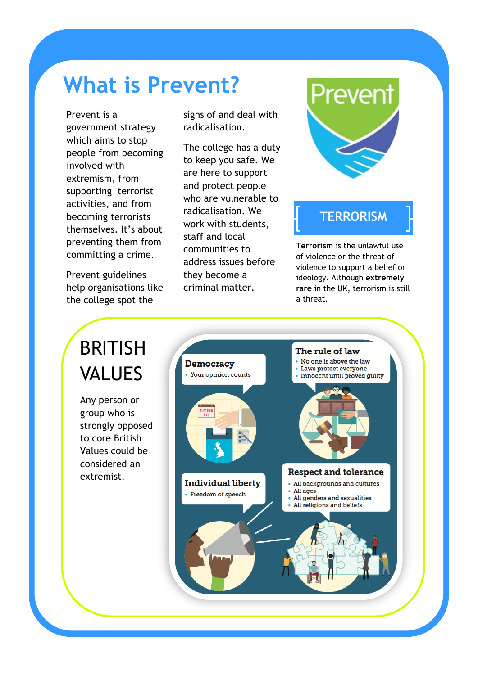# **What is Prevent?**

Prevent is a government strategy which aims to stop people from becoming involved with extremism, from supporting terrorist activities, and from becoming terrorists themselves. It's about preventing them from committing a crime.

Prevent guidelines help organisations like the college spot the

signs of and deal with radicalisation.

The college has a duty to keep you safe. We are here to support and protect people who are vulnerable to radicalisation. We work with students, staff and local communities to address issues before they become a criminal matter.



## **TERRORISM**

**Terrorism** is the unlawful use of violence or the threat of violence to support a belief or ideology. Although **extremely rare** in the UK, terrorism is still a threat.

# BRITISH VALUES

Any person or group who is strongly opposed to core British Values could be considered an extremist.